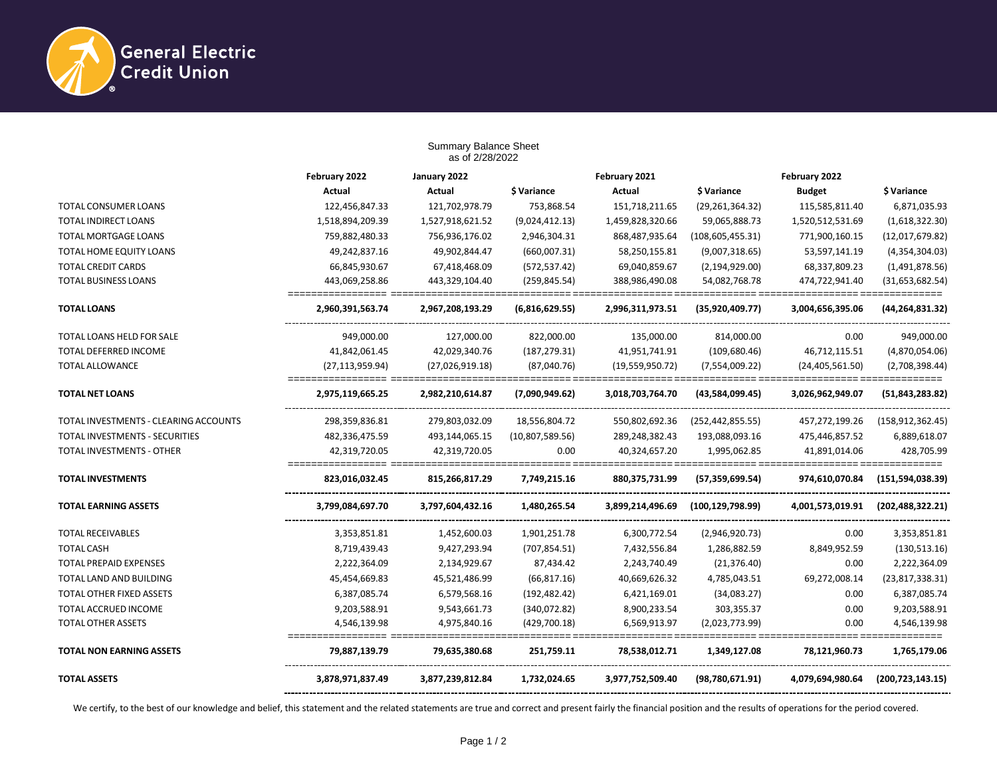

|                                       | <b>Summary Balance Sheet</b><br>as of 2/28/2022 |                  |                 |                  |                    |                   |                          |  |
|---------------------------------------|-------------------------------------------------|------------------|-----------------|------------------|--------------------|-------------------|--------------------------|--|
|                                       | February 2022                                   | January 2022     |                 | February 2021    |                    | February 2022     |                          |  |
|                                       | Actual                                          | <b>Actual</b>    | \$ Variance     | <b>Actual</b>    | \$ Variance        | <b>Budget</b>     | \$ Variance              |  |
| <b>TOTAL CONSUMER LOANS</b>           | 122,456,847.33                                  | 121,702,978.79   | 753,868.54      | 151,718,211.65   | (29, 261, 364.32)  | 115,585,811.40    | 6,871,035.93             |  |
| TOTAL INDIRECT LOANS                  | 1,518,894,209.39                                | 1,527,918,621.52 | (9,024,412.13)  | 1,459,828,320.66 | 59,065,888.73      | 1,520,512,531.69  | (1,618,322.30)           |  |
| TOTAL MORTGAGE LOANS                  | 759,882,480.33                                  | 756,936,176.02   | 2,946,304.31    | 868,487,935.64   | (108, 605, 455.31) | 771,900,160.15    | (12,017,679.82)          |  |
| TOTAL HOME EQUITY LOANS               | 49,242,837.16                                   | 49,902,844.47    | (660,007.31)    | 58,250,155.81    | (9,007,318.65)     | 53,597,141.19     | (4,354,304.03)           |  |
| <b>TOTAL CREDIT CARDS</b>             | 66,845,930.67                                   | 67,418,468.09    | (572, 537.42)   | 69,040,859.67    | (2, 194, 929.00)   | 68,337,809.23     | (1,491,878.56)           |  |
| <b>TOTAL BUSINESS LOANS</b>           | 443,069,258.86                                  | 443,329,104.40   | (259, 845.54)   | 388,986,490.08   | 54,082,768.78      | 474,722,941.40    | (31, 653, 682.54)        |  |
| <b>TOTAL LOANS</b>                    | 2,960,391,563.74                                | 2,967,208,193.29 | (6,816,629.55)  | 2,996,311,973.51 | (35, 920, 409.77)  | 3,004,656,395.06  | (44, 264, 831.32)        |  |
| TOTAL LOANS HELD FOR SALE             | 949,000.00                                      | 127,000.00       | 822,000.00      | 135,000.00       | 814,000.00         | 0.00              | 949,000.00               |  |
| <b>TOTAL DEFERRED INCOME</b>          | 41,842,061.45                                   | 42,029,340.76    | (187, 279.31)   | 41,951,741.91    | (109, 680.46)      | 46,712,115.51     | (4,870,054.06)           |  |
| <b>TOTAL ALLOWANCE</b>                | (27, 113, 959.94)                               | (27,026,919.18)  | (87,040.76)     | (19,559,950.72)  | (7,554,009.22)     | (24, 405, 561.50) | (2,708,398.44)           |  |
| <b>TOTAL NET LOANS</b>                | 2,975,119,665.25                                | 2,982,210,614.87 | (7,090,949.62)  | 3,018,703,764.70 | (43,584,099.45)    | 3,026,962,949.07  | (51, 843, 283.82)        |  |
| TOTAL INVESTMENTS - CLEARING ACCOUNTS | 298,359,836.81                                  | 279,803,032.09   | 18,556,804.72   | 550,802,692.36   | (252, 442, 855.55) | 457,272,199.26    | (158, 912, 362.45)       |  |
| TOTAL INVESTMENTS - SECURITIES        | 482,336,475.59                                  | 493,144,065.15   | (10,807,589.56) | 289,248,382.43   | 193,088,093.16     | 475,446,857.52    | 6,889,618.07             |  |
| TOTAL INVESTMENTS - OTHER             | 42,319,720.05                                   | 42,319,720.05    | 0.00            | 40,324,657.20    | 1,995,062.85       | 41,891,014.06     | 428,705.99               |  |
| <b>TOTAL INVESTMENTS</b>              | 823,016,032.45                                  | 815,266,817.29   | 7,749,215.16    | 880,375,731.99   | (57, 359, 699.54)  | 974,610,070.84    | (151, 594, 038.39)       |  |
| <b>TOTAL EARNING ASSETS</b>           | 3,799,084,697.70                                | 3,797,604,432.16 | 1,480,265.54    | 3,899,214,496.69 | (100, 129, 798.99) | 4,001,573,019.91  | (202, 488, 322.21)       |  |
| <b>TOTAL RECEIVABLES</b>              | 3,353,851.81                                    | 1,452,600.03     | 1,901,251.78    | 6,300,772.54     | (2,946,920.73)     | 0.00              | 3,353,851.81             |  |
| <b>TOTAL CASH</b>                     | 8,719,439.43                                    | 9,427,293.94     | (707, 854.51)   | 7,432,556.84     | 1,286,882.59       | 8,849,952.59      | (130, 513.16)            |  |
| <b>TOTAL PREPAID EXPENSES</b>         | 2,222,364.09                                    | 2,134,929.67     | 87,434.42       | 2,243,740.49     | (21, 376.40)       | 0.00              | 2,222,364.09             |  |
| TOTAL LAND AND BUILDING               | 45,454,669.83                                   | 45,521,486.99    | (66, 817.16)    | 40,669,626.32    | 4,785,043.51       | 69,272,008.14     | (23,817,338.31)          |  |
| TOTAL OTHER FIXED ASSETS              | 6,387,085.74                                    | 6,579,568.16     | (192, 482.42)   | 6,421,169.01     | (34,083.27)        | 0.00              | 6,387,085.74             |  |
| TOTAL ACCRUED INCOME                  | 9,203,588.91                                    | 9,543,661.73     | (340,072.82)    | 8,900,233.54     | 303,355.37         | 0.00              | 9,203,588.91             |  |
| TOTAL OTHER ASSETS                    | 4,546,139.98                                    | 4,975,840.16     | (429,700.18)    | 6,569,913.97     | (2,023,773.99)     | 0.00              | 4,546,139.98<br>________ |  |
| <b>TOTAL NON EARNING ASSETS</b>       | 79,887,139.79                                   | 79,635,380.68    | 251,759.11      | 78,538,012.71    | 1,349,127.08       | 78,121,960.73     | 1,765,179.06             |  |
| <b>TOTAL ASSETS</b>                   | 3,878,971,837.49                                | 3,877,239,812.84 | 1,732,024.65    | 3,977,752,509.40 | (98,780,671.91)    | 4,079,694,980.64  | (200, 723, 143.15)       |  |

We certify, to the best of our knowledge and belief, this statement and the related statements are true and correct and present fairly the financial position and the results of operations for the period covered.